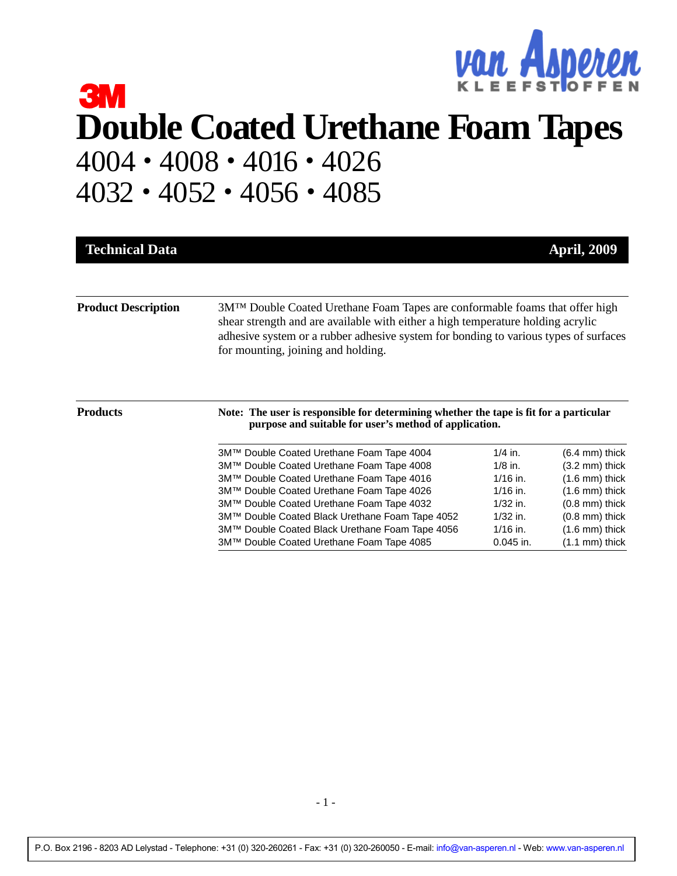

# **3M Double Coated Urethane Foam Tapes** 4004 • 4008 • 4016 • 4026 4032 • 4052 • 4056 • 4085

| <b>Technical Data</b>      |                                                                                                                                                                                                                                                                                               |             | <b>April, 2009</b>       |  |
|----------------------------|-----------------------------------------------------------------------------------------------------------------------------------------------------------------------------------------------------------------------------------------------------------------------------------------------|-------------|--------------------------|--|
| <b>Product Description</b> | 3MTM Double Coated Urethane Foam Tapes are conformable foams that offer high<br>shear strength and are available with either a high temperature holding acrylic<br>adhesive system or a rubber adhesive system for bonding to various types of surfaces<br>for mounting, joining and holding. |             |                          |  |
| <b>Products</b>            | Note: The user is responsible for determining whether the tape is fit for a particular<br>purpose and suitable for user's method of application.                                                                                                                                              |             |                          |  |
|                            | 3M™ Double Coated Urethane Foam Tape 4004                                                                                                                                                                                                                                                     | $1/4$ in.   | $(6.4 \text{ mm})$ thick |  |
|                            | 3M™ Double Coated Urethane Foam Tape 4008                                                                                                                                                                                                                                                     | $1/8$ in.   | $(3.2 \text{ mm})$ thick |  |
|                            | 3M™ Double Coated Urethane Foam Tape 4016                                                                                                                                                                                                                                                     | $1/16$ in.  | $(1.6 \text{ mm})$ thick |  |
|                            | 3M™ Double Coated Urethane Foam Tape 4026                                                                                                                                                                                                                                                     | $1/16$ in.  | $(1.6 \text{ mm})$ thick |  |
|                            | 3M™ Double Coated Urethane Foam Tape 4032                                                                                                                                                                                                                                                     | $1/32$ in.  | $(0.8$ mm) thick         |  |
|                            | 3M™ Double Coated Black Urethane Foam Tape 4052                                                                                                                                                                                                                                               | $1/32$ in.  | $(0.8$ mm) thick         |  |
|                            | 3M™ Double Coated Black Urethane Foam Tape 4056                                                                                                                                                                                                                                               | $1/16$ in.  | $(1.6$ mm) thick         |  |
|                            | 3M™ Double Coated Urethane Foam Tape 4085                                                                                                                                                                                                                                                     | $0.045$ in. | $(1.1 \text{ mm})$ thick |  |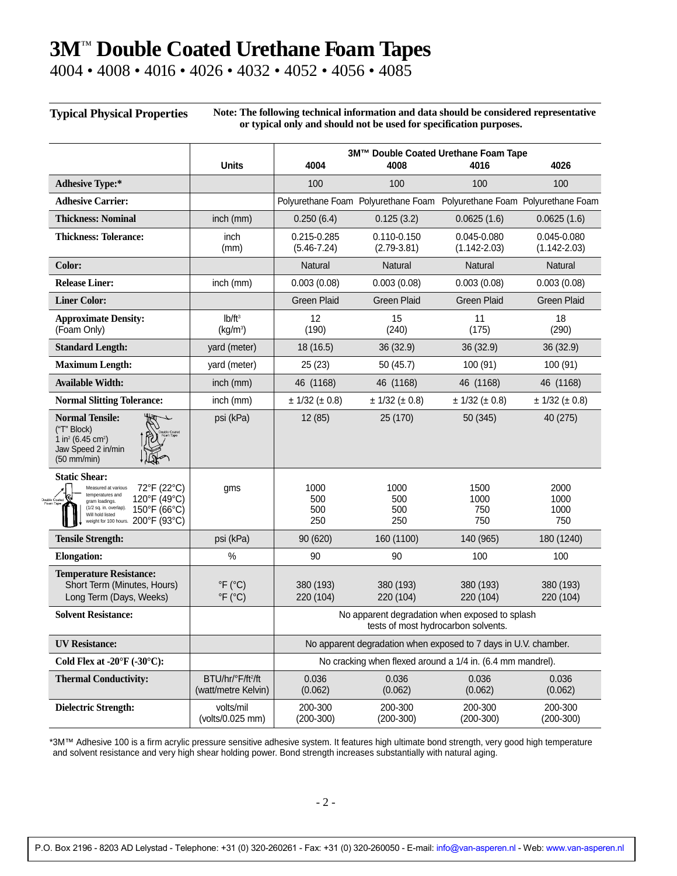4004 • 4008 • 4016 • 4026 • 4032 • 4052 • 4056 • 4085

 $\overline{D}$ 

#### **Typical Physical Properties Note: The following technical information and data should be considered representative**

| or typical only and should not be used for specification purposes. |  |
|--------------------------------------------------------------------|--|
|--------------------------------------------------------------------|--|

|                                                                                                                                                                                                                             |                                                               | 3M™ Double Coated Urethane Foam Tape                                                  |                                                                         |                                 |                                 |
|-----------------------------------------------------------------------------------------------------------------------------------------------------------------------------------------------------------------------------|---------------------------------------------------------------|---------------------------------------------------------------------------------------|-------------------------------------------------------------------------|---------------------------------|---------------------------------|
|                                                                                                                                                                                                                             | <b>Units</b>                                                  | 4004                                                                                  | 4008                                                                    | 4016                            | 4026                            |
| <b>Adhesive Type:*</b>                                                                                                                                                                                                      |                                                               | 100                                                                                   | 100                                                                     | 100                             | 100                             |
| <b>Adhesive Carrier:</b>                                                                                                                                                                                                    |                                                               |                                                                                       | Polyurethane Foam Polyurethane Foam Polyurethane Foam Polyurethane Foam |                                 |                                 |
| <b>Thickness: Nominal</b>                                                                                                                                                                                                   | inch (mm)                                                     | 0.250(6.4)                                                                            | 0.125(3.2)                                                              | 0.0625(1.6)                     | 0.0625(1.6)                     |
| <b>Thickness: Tolerance:</b>                                                                                                                                                                                                | inch<br>(mm)                                                  | 0.215-0.285<br>$(5.46 - 7.24)$                                                        | 0.110-0.150<br>$(2.79 - 3.81)$                                          | 0.045-0.080<br>$(1.142 - 2.03)$ | 0.045-0.080<br>$(1.142 - 2.03)$ |
| Color:                                                                                                                                                                                                                      |                                                               | Natural                                                                               | Natural                                                                 | Natural                         | Natural                         |
| <b>Release Liner:</b>                                                                                                                                                                                                       | inch (mm)                                                     | 0.003(0.08)                                                                           | 0.003(0.08)                                                             | 0.003(0.08)                     | 0.003(0.08)                     |
| <b>Liner Color:</b>                                                                                                                                                                                                         |                                                               | <b>Green Plaid</b>                                                                    | <b>Green Plaid</b>                                                      | <b>Green Plaid</b>              | <b>Green Plaid</b>              |
| <b>Approximate Density:</b><br>(Foam Only)                                                                                                                                                                                  | Ib/ft <sup>3</sup><br>(kg/m <sup>3</sup> )                    | 12<br>(190)                                                                           | 15<br>(240)                                                             | 11<br>(175)                     | 18<br>(290)                     |
| <b>Standard Length:</b>                                                                                                                                                                                                     | yard (meter)                                                  | 18 (16.5)                                                                             | 36(32.9)                                                                | 36 (32.9)                       | 36(32.9)                        |
| <b>Maximum Length:</b>                                                                                                                                                                                                      | yard (meter)                                                  | 25(23)                                                                                | 50 (45.7)                                                               | 100 (91)                        | 100 (91)                        |
| <b>Available Width:</b>                                                                                                                                                                                                     | inch (mm)                                                     | 46 (1168)                                                                             | 46 (1168)                                                               | 46 (1168)                       | 46 (1168)                       |
| <b>Normal Slitting Tolerance:</b>                                                                                                                                                                                           | inch (mm)                                                     | ± 1/32 (± 0.8)                                                                        | ± 1/32 (± 0.8)                                                          | ± 1/32 (± 0.8)                  | ± 1/32 (± 0.8)                  |
| <b>Normal Tensile:</b><br>("T" Block)<br>1 in <sup>2</sup> (6.45 cm <sup>2</sup> )<br>Jaw Speed 2 in/min<br>$(50$ mm/min)                                                                                                   | psi (kPa)                                                     | 12 (85)                                                                               | 25 (170)                                                                | 50 (345)                        | 40 (275)                        |
| <b>Static Shear:</b><br>72°F (22°C)<br>Measured at various<br>temperatures and<br>‱ &<br>120°F (49°C)<br>gram loadings.<br>(1/2 sq. in. overlap).<br>150°F (66°C)<br>Will hold listed<br>weight for 100 hours. 200°F (93°C) | gms                                                           | 1000<br>500<br>500<br>250                                                             | 1000<br>500<br>500<br>250                                               | 1500<br>1000<br>750<br>750      | 2000<br>1000<br>1000<br>750     |
| <b>Tensile Strength:</b>                                                                                                                                                                                                    | psi (kPa)                                                     | 90 (620)                                                                              | 160 (1100)                                                              | 140 (965)                       | 180 (1240)                      |
| <b>Elongation:</b>                                                                                                                                                                                                          | $\%$                                                          | 90                                                                                    | 90                                                                      | 100                             | 100                             |
| <b>Temperature Resistance:</b><br>Short Term (Minutes, Hours)<br>Long Term (Days, Weeks)                                                                                                                                    | $\mathrm{P}F$ ( $\mathrm{C}$ C)<br>$\degree$ F ( $\degree$ C) | 380 (193)<br>220 (104)                                                                | 380 (193)<br>220 (104)                                                  | 380 (193)<br>220 (104)          | 380 (193)<br>220 (104)          |
| <b>Solvent Resistance:</b>                                                                                                                                                                                                  |                                                               | No apparent degradation when exposed to splash<br>tests of most hydrocarbon solvents. |                                                                         |                                 |                                 |
| <b>UV Resistance:</b>                                                                                                                                                                                                       |                                                               | No apparent degradation when exposed to 7 days in U.V. chamber.                       |                                                                         |                                 |                                 |
| Cold Flex at -20 $\mathrm{F}$ (-30 $\mathrm{C}$ ):                                                                                                                                                                          |                                                               | No cracking when flexed around a 1/4 in. (6.4 mm mandrel).                            |                                                                         |                                 |                                 |
| <b>Thermal Conductivity:</b>                                                                                                                                                                                                | BTU/hr/°F/ft <sup>2</sup> /ft<br>(watt/metre Kelvin)          | 0.036<br>(0.062)                                                                      | 0.036<br>(0.062)                                                        | 0.036<br>(0.062)                | 0.036<br>(0.062)                |
| <b>Dielectric Strength:</b>                                                                                                                                                                                                 | volts/mil<br>(volts/0.025 mm)                                 | 200-300<br>$(200-300)$                                                                | 200-300<br>$(200-300)$                                                  | 200-300<br>$(200-300)$          | 200-300<br>$(200-300)$          |

\*3M™ Adhesive 100 is a firm acrylic pressure sensitive adhesive system. It features high ultimate bond strength, very good high temperature and solvent resistance and very high shear holding power. Bond strength increases substantially with natural aging.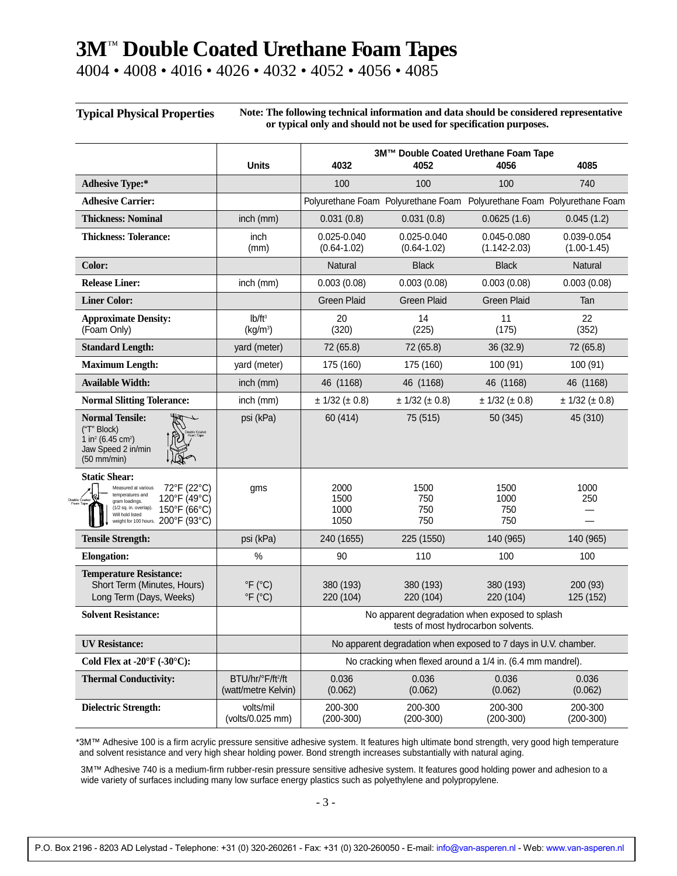4004 • 4008 • 4016 • 4026 • 4032 • 4052 • 4056 • 4085

 $\overline{D}$ 

**Typical Physical Properties Note: The following technical information and data should be considered representative or typical only and should not be used for specification purposes.**

|                                                                                                                                                                                                                                            |                                                          | 3M™ Double Coated Urethane Foam Tape                                                  |                                                                         |                                 |                              |
|--------------------------------------------------------------------------------------------------------------------------------------------------------------------------------------------------------------------------------------------|----------------------------------------------------------|---------------------------------------------------------------------------------------|-------------------------------------------------------------------------|---------------------------------|------------------------------|
|                                                                                                                                                                                                                                            | <b>Units</b>                                             | 4032                                                                                  | 4052                                                                    | 4056                            | 4085                         |
| <b>Adhesive Type:*</b>                                                                                                                                                                                                                     |                                                          | 100                                                                                   | 100                                                                     | 100                             | 740                          |
| <b>Adhesive Carrier:</b>                                                                                                                                                                                                                   |                                                          |                                                                                       | Polyurethane Foam Polyurethane Foam Polyurethane Foam Polyurethane Foam |                                 |                              |
| <b>Thickness: Nominal</b>                                                                                                                                                                                                                  | inch (mm)                                                | 0.031(0.8)                                                                            | 0.031(0.8)                                                              | 0.0625(1.6)                     | 0.045(1.2)                   |
| <b>Thickness: Tolerance:</b>                                                                                                                                                                                                               | inch<br>(mm)                                             | 0.025-0.040<br>$(0.64 - 1.02)$                                                        | 0.025-0.040<br>$(0.64 - 1.02)$                                          | 0.045-0.080<br>$(1.142 - 2.03)$ | 0.039-0.054<br>$(1.00-1.45)$ |
| Color:                                                                                                                                                                                                                                     |                                                          | Natural                                                                               | <b>Black</b>                                                            | <b>Black</b>                    | <b>Natural</b>               |
| <b>Release Liner:</b>                                                                                                                                                                                                                      | inch (mm)                                                | 0.003(0.08)                                                                           | 0.003(0.08)                                                             | 0.003(0.08)                     | 0.003(0.08)                  |
| <b>Liner Color:</b>                                                                                                                                                                                                                        |                                                          | <b>Green Plaid</b>                                                                    | <b>Green Plaid</b>                                                      | <b>Green Plaid</b>              | Tan                          |
| <b>Approximate Density:</b><br>(Foam Only)                                                                                                                                                                                                 | Ib/ft <sup>3</sup><br>(kg/m <sup>3</sup> )               | 20<br>(320)                                                                           | 14<br>(225)                                                             | 11<br>(175)                     | 22<br>(352)                  |
| <b>Standard Length:</b>                                                                                                                                                                                                                    | yard (meter)                                             | 72 (65.8)                                                                             | 72 (65.8)                                                               | 36 (32.9)                       | 72 (65.8)                    |
| <b>Maximum Length:</b>                                                                                                                                                                                                                     | yard (meter)                                             | 175 (160)                                                                             | 175 (160)                                                               | 100 (91)                        | 100 (91)                     |
| <b>Available Width:</b>                                                                                                                                                                                                                    | inch (mm)                                                | 46 (1168)                                                                             | 46 (1168)                                                               | 46 (1168)                       | 46 (1168)                    |
| <b>Normal Slitting Tolerance:</b>                                                                                                                                                                                                          | inch (mm)                                                | ± 1/32 (± 0.8)                                                                        | ± 1/32 (± 0.8)                                                          | ± 1/32 (± 0.8)                  | ± 1/32 (± 0.8)               |
| <b>Normal Tensile:</b><br>("T" Block)<br>1 in <sup>2</sup> (6.45 cm <sup>2</sup> )<br>Jaw Speed 2 in/min<br>$(50$ mm/min)                                                                                                                  | psi (kPa)                                                | 60 (414)                                                                              | 75 (515)                                                                | 50 (345)                        | 45 (310)                     |
| <b>Static Shear:</b><br>72°F (22°C)<br>Measured at various<br>temperatures and<br>.હા<br>120°F (49°C)<br>uble Coated<br>gram loadings.<br>(1/2 sq. in. overlap).<br>150°F (66°C)<br>Will hold listed<br>weight for 100 hours. 200°F (93°C) | gms                                                      | 2000<br>1500<br>1000<br>1050                                                          | 1500<br>750<br>750<br>750                                               | 1500<br>1000<br>750<br>750      | 1000<br>250                  |
| <b>Tensile Strength:</b>                                                                                                                                                                                                                   | psi (kPa)                                                | 240 (1655)                                                                            | 225 (1550)                                                              | 140 (965)                       | 140 (965)                    |
| <b>Elongation:</b>                                                                                                                                                                                                                         | $\%$                                                     | 90                                                                                    | 110                                                                     | 100                             | 100                          |
| <b>Temperature Resistance:</b><br>Short Term (Minutes, Hours)<br>Long Term (Days, Weeks)                                                                                                                                                   | $\degree$ F ( $\degree$ C)<br>$\degree$ F ( $\degree$ C) | 380 (193)<br>220 (104)                                                                | 380 (193)<br>220 (104)                                                  | 380 (193)<br>220 (104)          | 200 (93)<br>125 (152)        |
| <b>Solvent Resistance:</b>                                                                                                                                                                                                                 |                                                          | No apparent degradation when exposed to splash<br>tests of most hydrocarbon solvents. |                                                                         |                                 |                              |
| <b>UV Resistance:</b>                                                                                                                                                                                                                      |                                                          | No apparent degradation when exposed to 7 days in U.V. chamber.                       |                                                                         |                                 |                              |
| Cold Flex at -20 $\mathrm{F}$ (-30 $\mathrm{C}$ ):                                                                                                                                                                                         |                                                          | No cracking when flexed around a 1/4 in. (6.4 mm mandrel).                            |                                                                         |                                 |                              |
| <b>Thermal Conductivity:</b>                                                                                                                                                                                                               | BTU/hr/°F/ft <sup>2</sup> /ft<br>(watt/metre Kelvin)     | 0.036<br>(0.062)                                                                      | 0.036<br>(0.062)                                                        | 0.036<br>(0.062)                | 0.036<br>(0.062)             |
| <b>Dielectric Strength:</b>                                                                                                                                                                                                                | volts/mil<br>(volts/0.025 mm)                            | 200-300<br>$(200-300)$                                                                | 200-300<br>$(200-300)$                                                  | 200-300<br>$(200-300)$          | 200-300<br>$(200-300)$       |

\*3M™ Adhesive 100 is a firm acrylic pressure sensitive adhesive system. It features high ultimate bond strength, very good high temperature and solvent resistance and very high shear holding power. Bond strength increases substantially with natural aging.

3M™ Adhesive 740 is a medium-firm rubber-resin pressure sensitive adhesive system. It features good holding power and adhesion to a wide variety of surfaces including many low surface energy plastics such as polyethylene and polypropylene.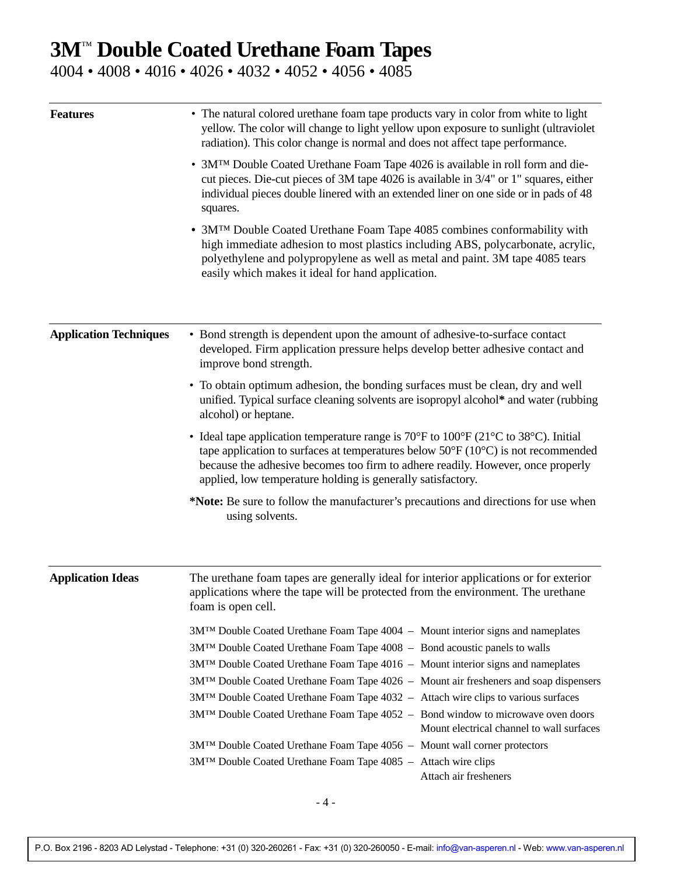4004 • 4008 • 4016 • 4026 • 4032 • 4052 • 4056 • 4085

| <b>Features</b>               | • The natural colored urethane foam tape products vary in color from white to light<br>yellow. The color will change to light yellow upon exposure to sunlight (ultraviolet<br>radiation). This color change is normal and does not affect tape performance.<br>• 3M <sup>TM</sup> Double Coated Urethane Foam Tape 4026 is available in roll form and die-<br>cut pieces. Die-cut pieces of 3M tape 4026 is available in 3/4" or 1" squares, either<br>individual pieces double linered with an extended liner on one side or in pads of 48<br>squares. |  |  |  |  |
|-------------------------------|----------------------------------------------------------------------------------------------------------------------------------------------------------------------------------------------------------------------------------------------------------------------------------------------------------------------------------------------------------------------------------------------------------------------------------------------------------------------------------------------------------------------------------------------------------|--|--|--|--|
|                               |                                                                                                                                                                                                                                                                                                                                                                                                                                                                                                                                                          |  |  |  |  |
|                               | • 3M <sup>TM</sup> Double Coated Urethane Foam Tape 4085 combines conformability with<br>high immediate adhesion to most plastics including ABS, polycarbonate, acrylic,<br>polyethylene and polypropylene as well as metal and paint. 3M tape 4085 tears<br>easily which makes it ideal for hand application.                                                                                                                                                                                                                                           |  |  |  |  |
| <b>Application Techniques</b> | • Bond strength is dependent upon the amount of adhesive-to-surface contact<br>developed. Firm application pressure helps develop better adhesive contact and<br>improve bond strength.                                                                                                                                                                                                                                                                                                                                                                  |  |  |  |  |
|                               | • To obtain optimum adhesion, the bonding surfaces must be clean, dry and well<br>unified. Typical surface cleaning solvents are isopropyl alcohol* and water (rubbing<br>alcohol) or heptane.                                                                                                                                                                                                                                                                                                                                                           |  |  |  |  |
|                               | • Ideal tape application temperature range is $70^{\circ}$ F to $100^{\circ}$ F (21 $^{\circ}$ C to 38 $^{\circ}$ C). Initial<br>tape application to surfaces at temperatures below $50^{\circ}$ F (10 $^{\circ}$ C) is not recommended<br>because the adhesive becomes too firm to adhere readily. However, once properly<br>applied, low temperature holding is generally satisfactory.                                                                                                                                                                |  |  |  |  |
|                               | *Note: Be sure to follow the manufacturer's precautions and directions for use when<br>using solvents.                                                                                                                                                                                                                                                                                                                                                                                                                                                   |  |  |  |  |
| <b>Application Ideas</b>      | The urethane foam tapes are generally ideal for interior applications or for exterior<br>applications where the tape will be protected from the environment. The urethane<br>foam is open cell.                                                                                                                                                                                                                                                                                                                                                          |  |  |  |  |
|                               | 3M <sup>TM</sup> Double Coated Urethane Foam Tape 4004 - Mount interior signs and nameplates                                                                                                                                                                                                                                                                                                                                                                                                                                                             |  |  |  |  |
|                               | 3M <sup>TM</sup> Double Coated Urethane Foam Tape 4008 - Bond acoustic panels to walls                                                                                                                                                                                                                                                                                                                                                                                                                                                                   |  |  |  |  |
|                               | 3M <sup>TM</sup> Double Coated Urethane Foam Tape 4016 - Mount interior signs and nameplates                                                                                                                                                                                                                                                                                                                                                                                                                                                             |  |  |  |  |
|                               | 3MTM Double Coated Urethane Foam Tape 4026 - Mount air fresheners and soap dispensers                                                                                                                                                                                                                                                                                                                                                                                                                                                                    |  |  |  |  |
|                               | 3M <sup>TM</sup> Double Coated Urethane Foam Tape 4032 - Attach wire clips to various surfaces                                                                                                                                                                                                                                                                                                                                                                                                                                                           |  |  |  |  |
|                               | 3M <sup>TM</sup> Double Coated Urethane Foam Tape 4052 - Bond window to microwave oven doors<br>Mount electrical channel to wall surfaces                                                                                                                                                                                                                                                                                                                                                                                                                |  |  |  |  |
|                               | 3MTM Double Coated Urethane Foam Tape 4056 - Mount wall corner protectors                                                                                                                                                                                                                                                                                                                                                                                                                                                                                |  |  |  |  |
|                               | 3MTM Double Coated Urethane Foam Tape 4085 - Attach wire clips<br>Attach air fresheners                                                                                                                                                                                                                                                                                                                                                                                                                                                                  |  |  |  |  |